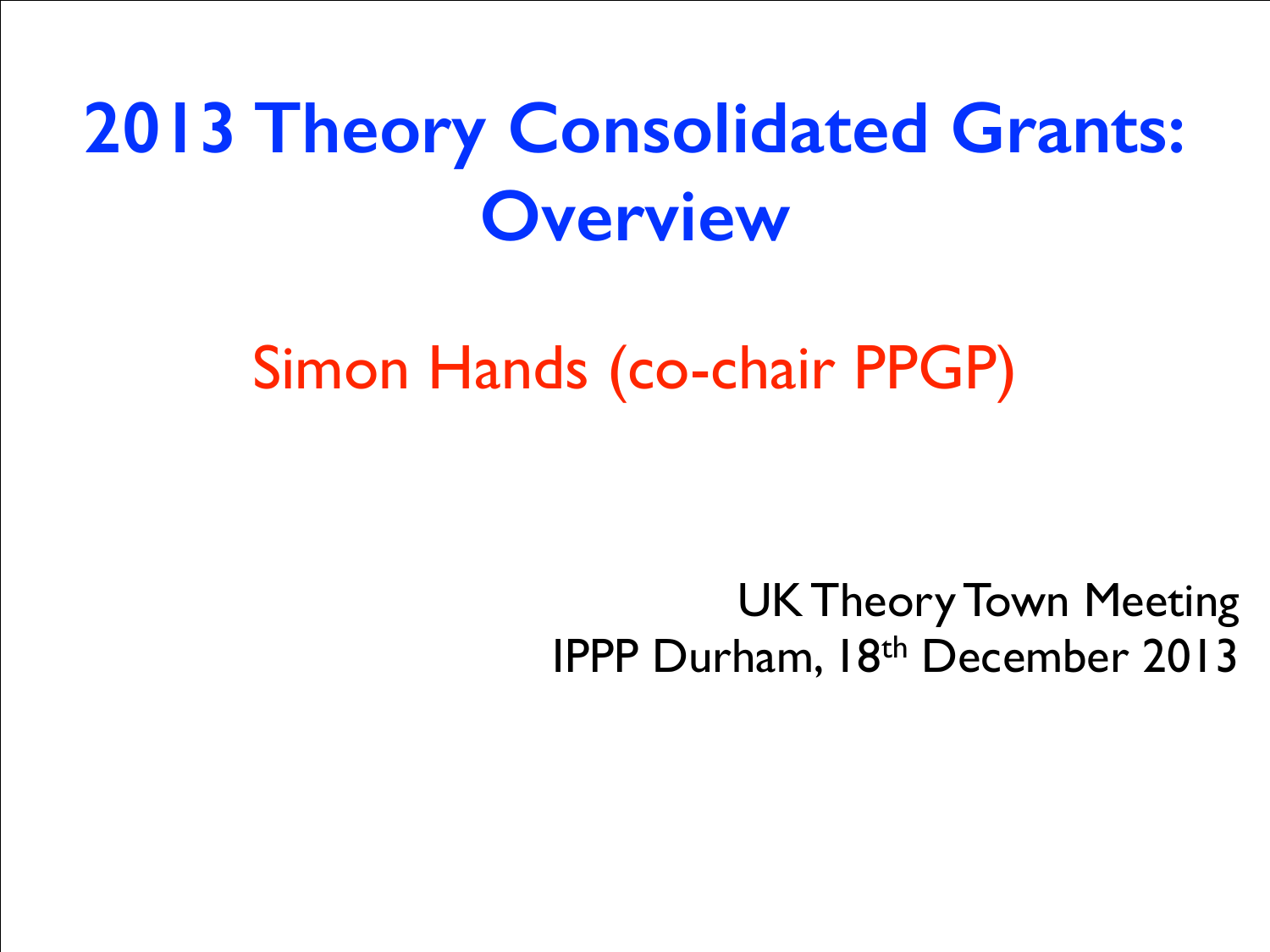## **2013 Theory Consolidated Grants: Overview**

### Simon Hands (co-chair PPGP)

UK Theory Town Meeting IPPP Durham, 18th December 2013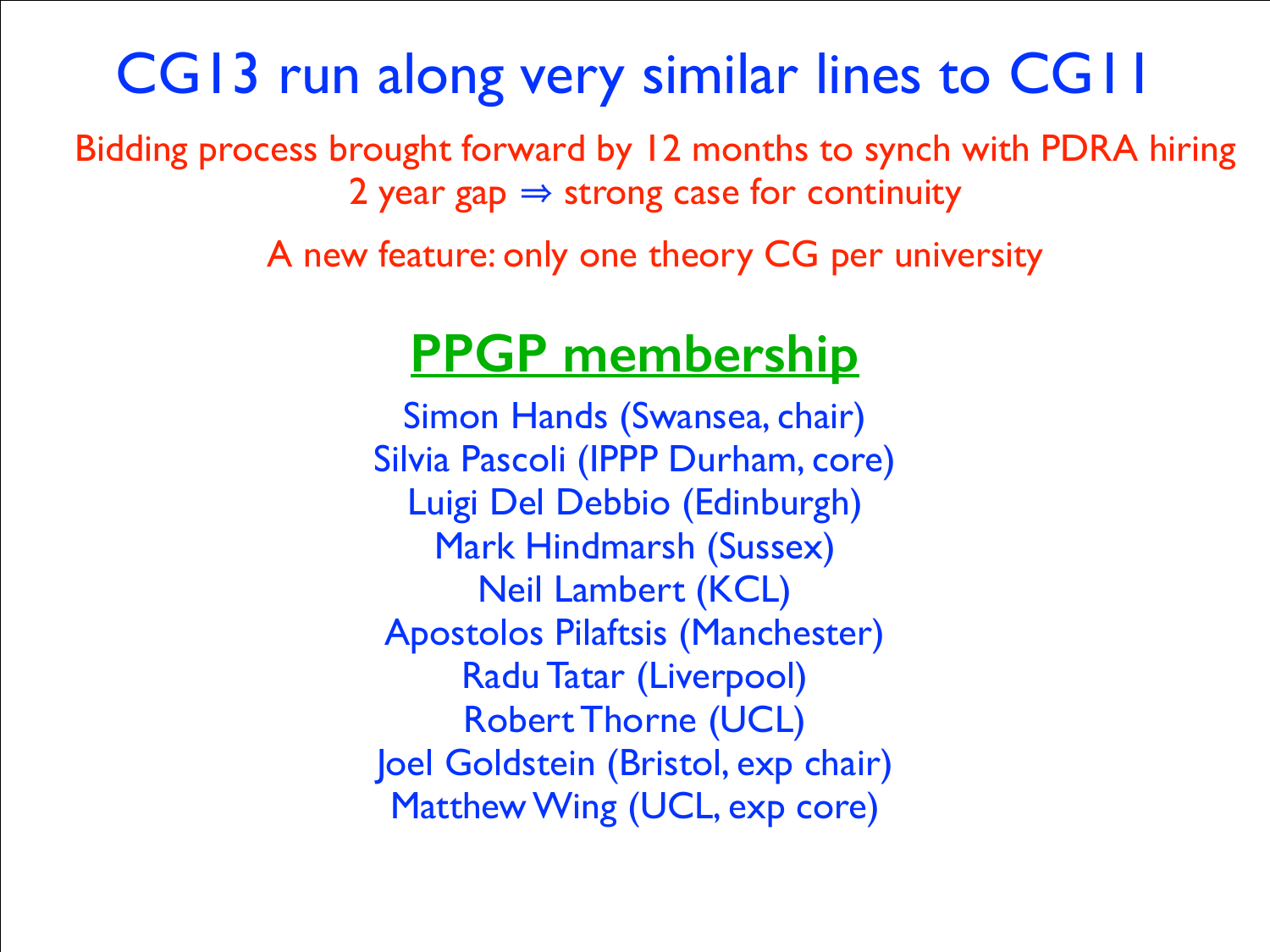#### CG13 run along very similar lines to CG11

Bidding process brought forward by 12 months to synch with PDRA hiring 2 year gap  $\Rightarrow$  strong case for continuity

A new feature: only one theory CG per university

#### **PPGP membership**

Simon Hands (Swansea, chair) Silvia Pascoli (IPPP Durham, core) Luigi Del Debbio (Edinburgh) Mark Hindmarsh (Sussex) Neil Lambert (KCL) Apostolos Pilaftsis (Manchester) Radu Tatar (Liverpool) Robert Thorne (UCL) Joel Goldstein (Bristol, exp chair) Matthew Wing (UCL, exp core)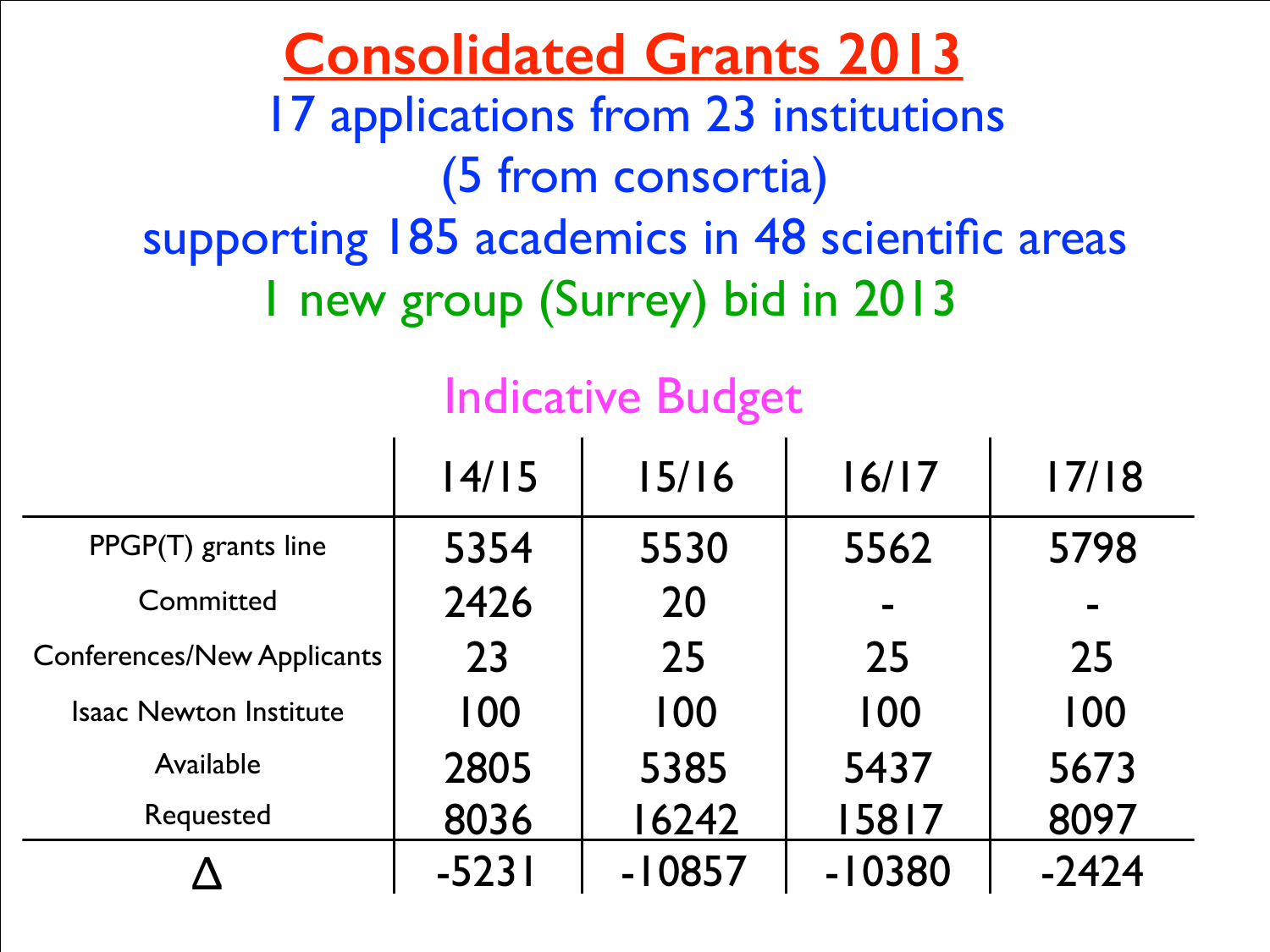#### **Consolidated Grants 2013** 17 applications from 23 institutions (5 from consortia) supporting 185 academics in 48 scientific areas 1 new group (Surrey) bid in 2013

#### Indicative Budget

|                                   | 14/15   | 15/16    | 16/17    | 17/18   |
|-----------------------------------|---------|----------|----------|---------|
| PPGP(T) grants line               | 5354    | 5530     | 5562     | 5798    |
| Committed                         | 2426    | 20       |          |         |
| <b>Conferences/New Applicants</b> | 23      | 25       | 25       | 25      |
| <b>Isaac Newton Institute</b>     | 100     | 100      | 100      | 100     |
| Available                         | 2805    | 5385     | 5437     | 5673    |
| Requested                         | 8036    | 16242    | 15817    | 8097    |
|                                   | $-5231$ | $-10857$ | $-10380$ | $-2424$ |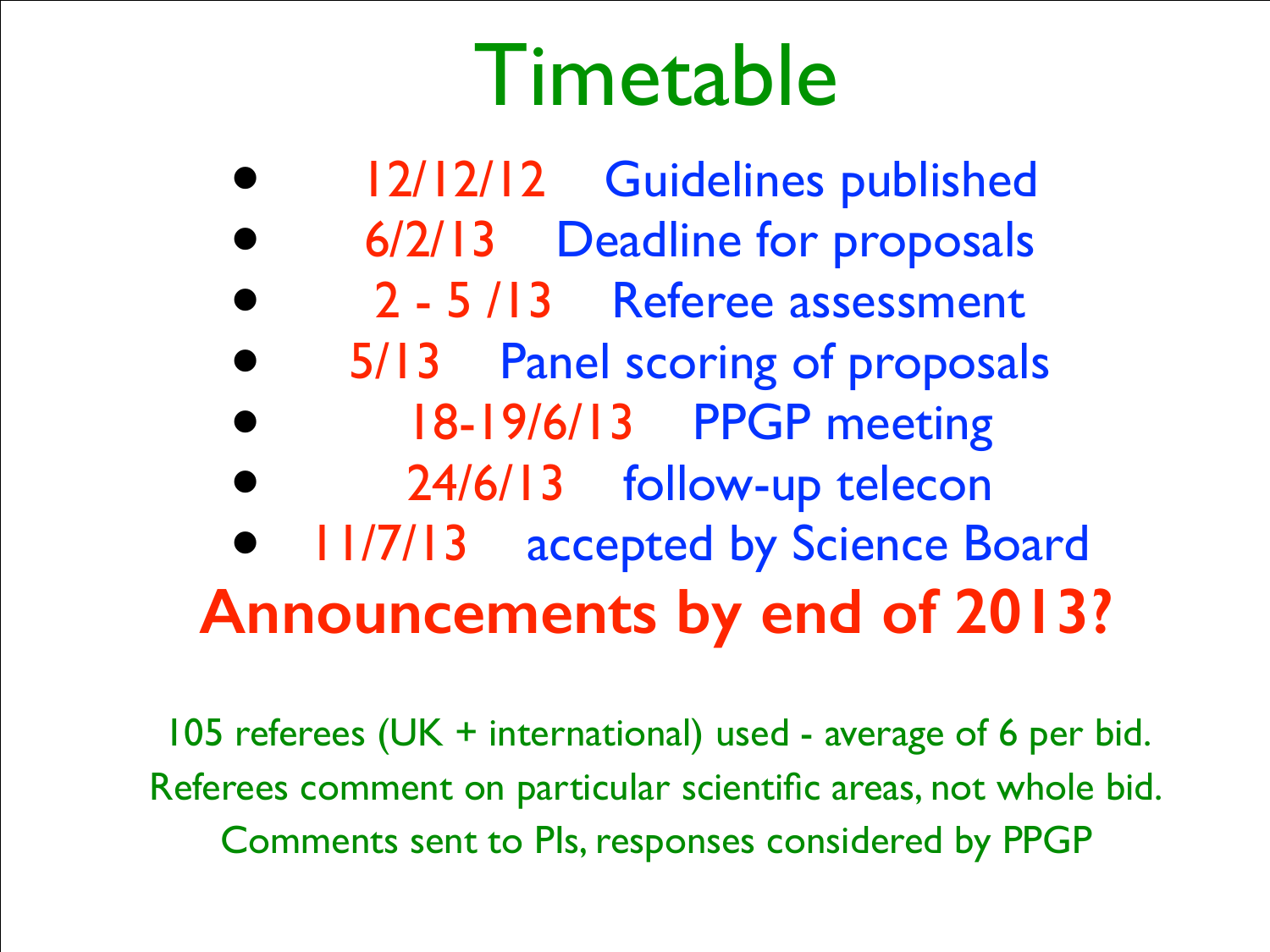# Timetable

- 12/12/12 Guidelines published
- 6/2/13 Deadline for proposals
- 2 5 /13 Referee assessment
- 5/13 Panel scoring of proposals
- 18-19/6/13 PPGP meeting
- 24/6/13 follow-up telecon
- 11/7/13 accepted by Science Board **Announcements by end of 2013?**

105 referees (UK + international) used - average of 6 per bid. Referees comment on particular scientific areas, not whole bid. Comments sent to PIs, responses considered by PPGP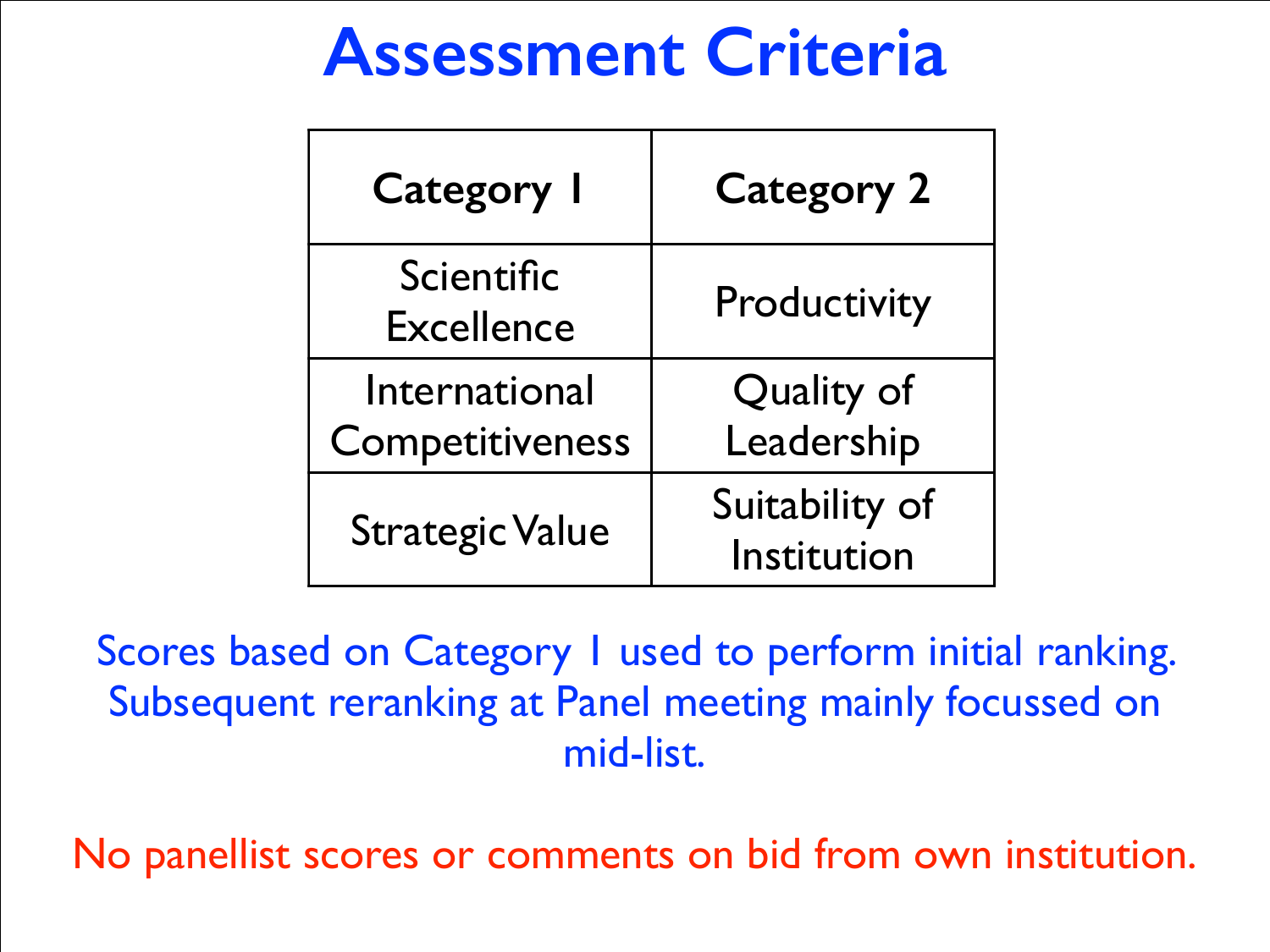### **Assessment Criteria**

| <b>Category I</b>                | <b>Category 2</b>             |
|----------------------------------|-------------------------------|
| Scientific<br><b>Excellence</b>  | Productivity                  |
| International<br>Competitiveness | Quality of<br>Leadership      |
| <b>Strategic Value</b>           | Suitability of<br>Institution |

Scores based on Category I used to perform initial ranking. Subsequent reranking at Panel meeting mainly focussed on mid-list.

No panellist scores or comments on bid from own institution.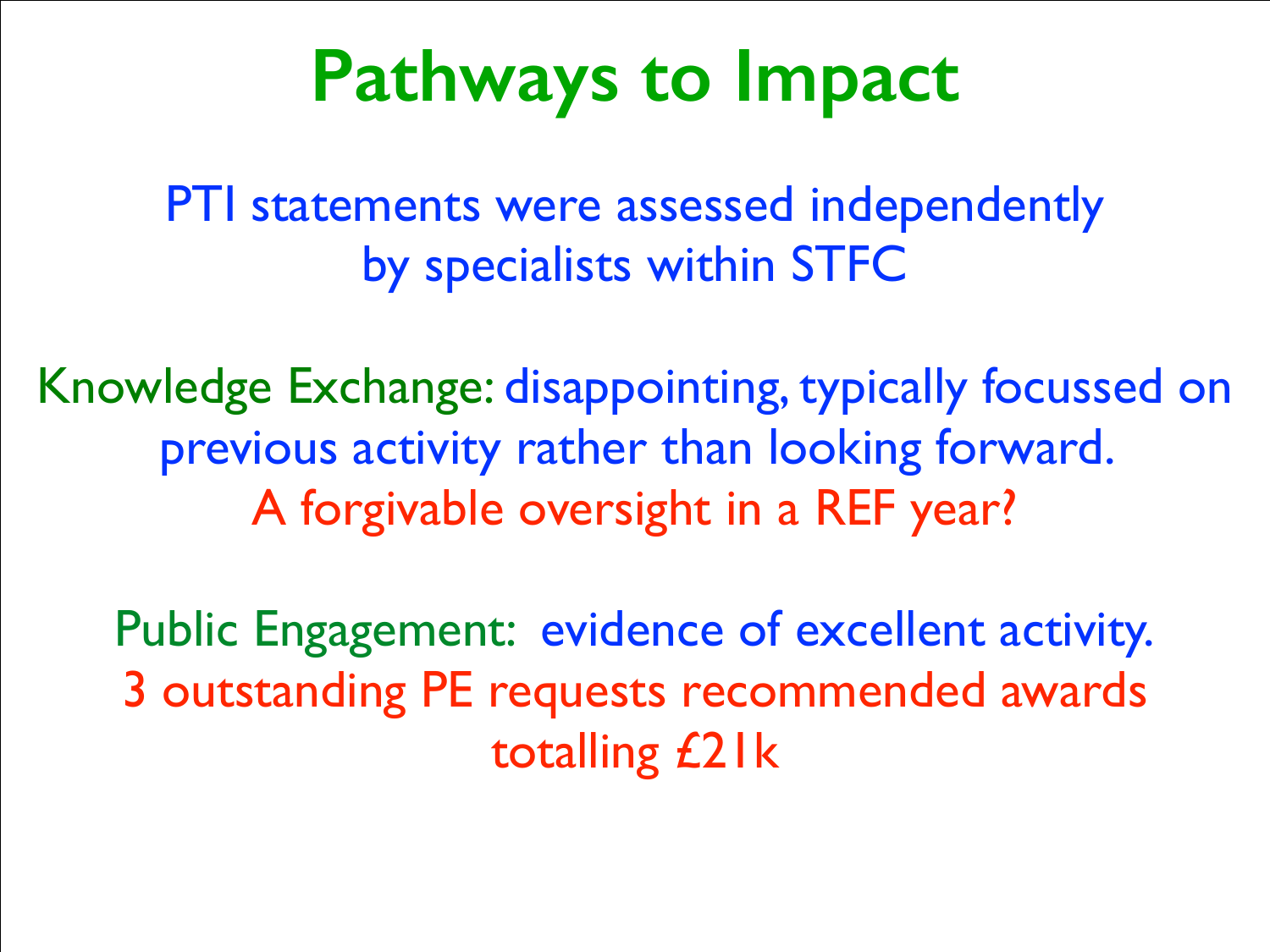## **Pathways to Impact**

PTI statements were assessed independently by specialists within STFC

Knowledge Exchange: disappointing, typically focussed on previous activity rather than looking forward. A forgivable oversight in a REF year?

Public Engagement: evidence of excellent activity. 3 outstanding PE requests recommended awards totalling £21k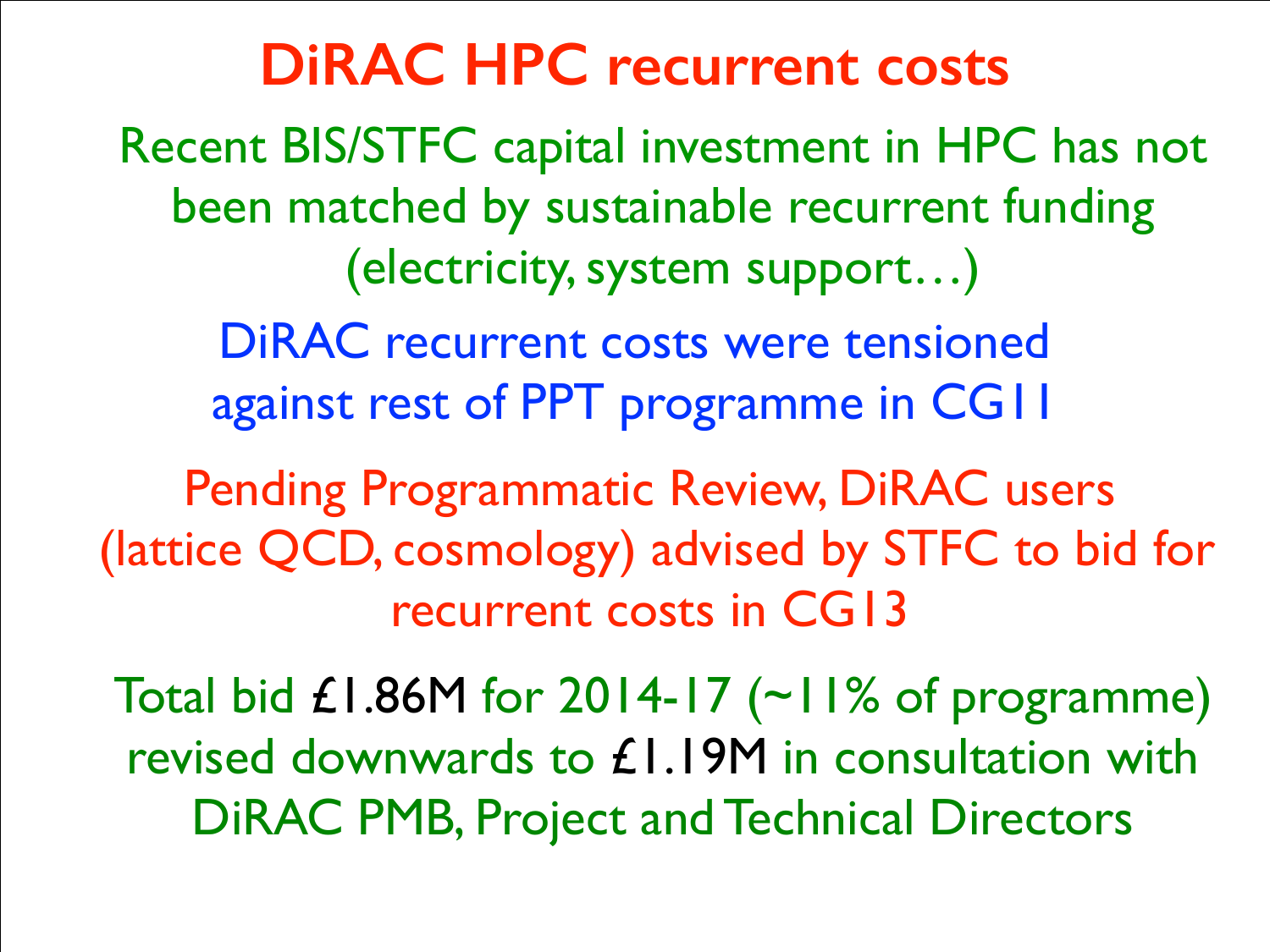#### **DiRAC HPC recurrent costs**

Recent BIS/STFC capital investment in HPC has not been matched by sustainable recurrent funding (electricity, system support…)

DiRAC recurrent costs were tensioned against rest of PPT programme in CG11

Pending Programmatic Review, DiRAC users (lattice QCD, cosmology) advised by STFC to bid for recurrent costs in CG13

Total bid  $\pounds$ 1.86M for 2014-17 (~11% of programme) revised downwards to £1.19M in consultation with DiRAC PMB, Project and Technical Directors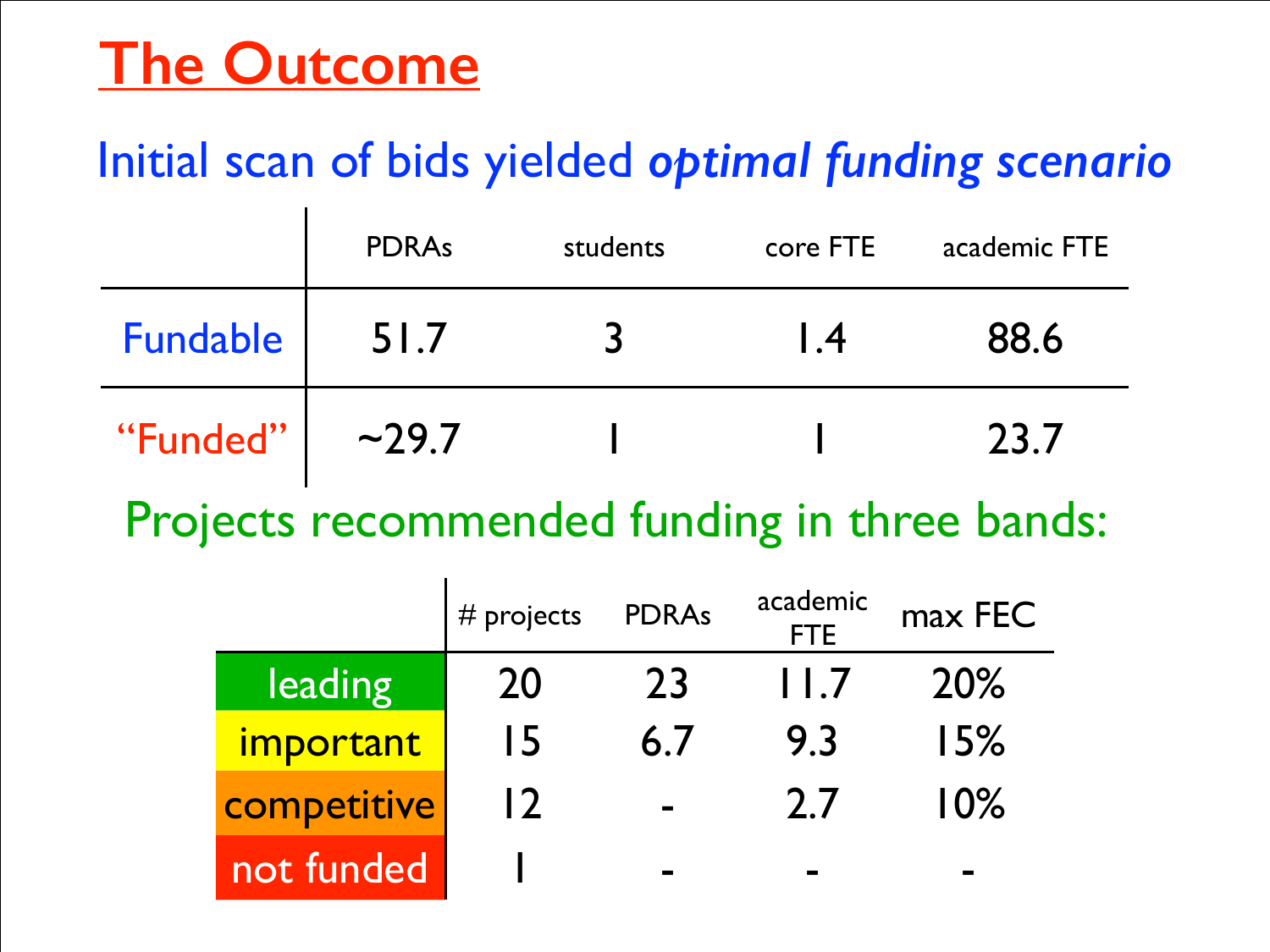#### **The Outcome**

#### Initial scan of bids yielded *optimal funding scenario*

|          | <b>PDRAs</b> | students | core FTE       | academic FTE |
|----------|--------------|----------|----------------|--------------|
| Fundable | 51.7         | $\prec$  | $\overline{1}$ | 88.6         |
| "Funded" | ~29.7        |          |                | 23.7         |

Projects recommended funding in three bands:

|             | $#$ projects | <b>PDRAs</b>  | academic<br><b>FTE</b> | max FEC |
|-------------|--------------|---------------|------------------------|---------|
| leading     | 20           | 23            | 11.7                   | 20%     |
| important   | 15           | 6.7           | 9.3                    | 15%     |
| competitive | 12           | <b>The Co</b> | 2.7                    | 10%     |
| not funded  |              |               |                        |         |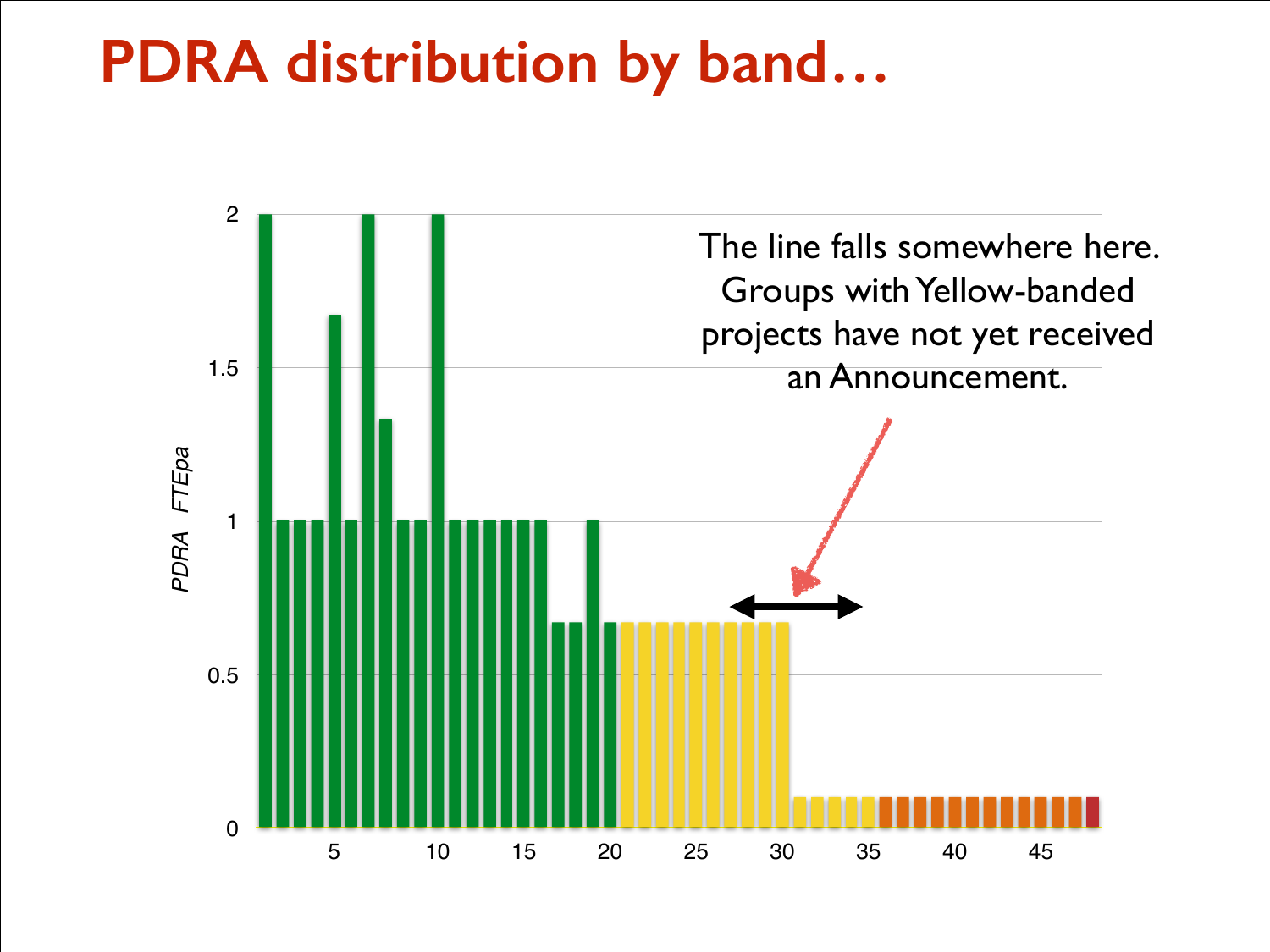#### **PDRA distribution by band…**

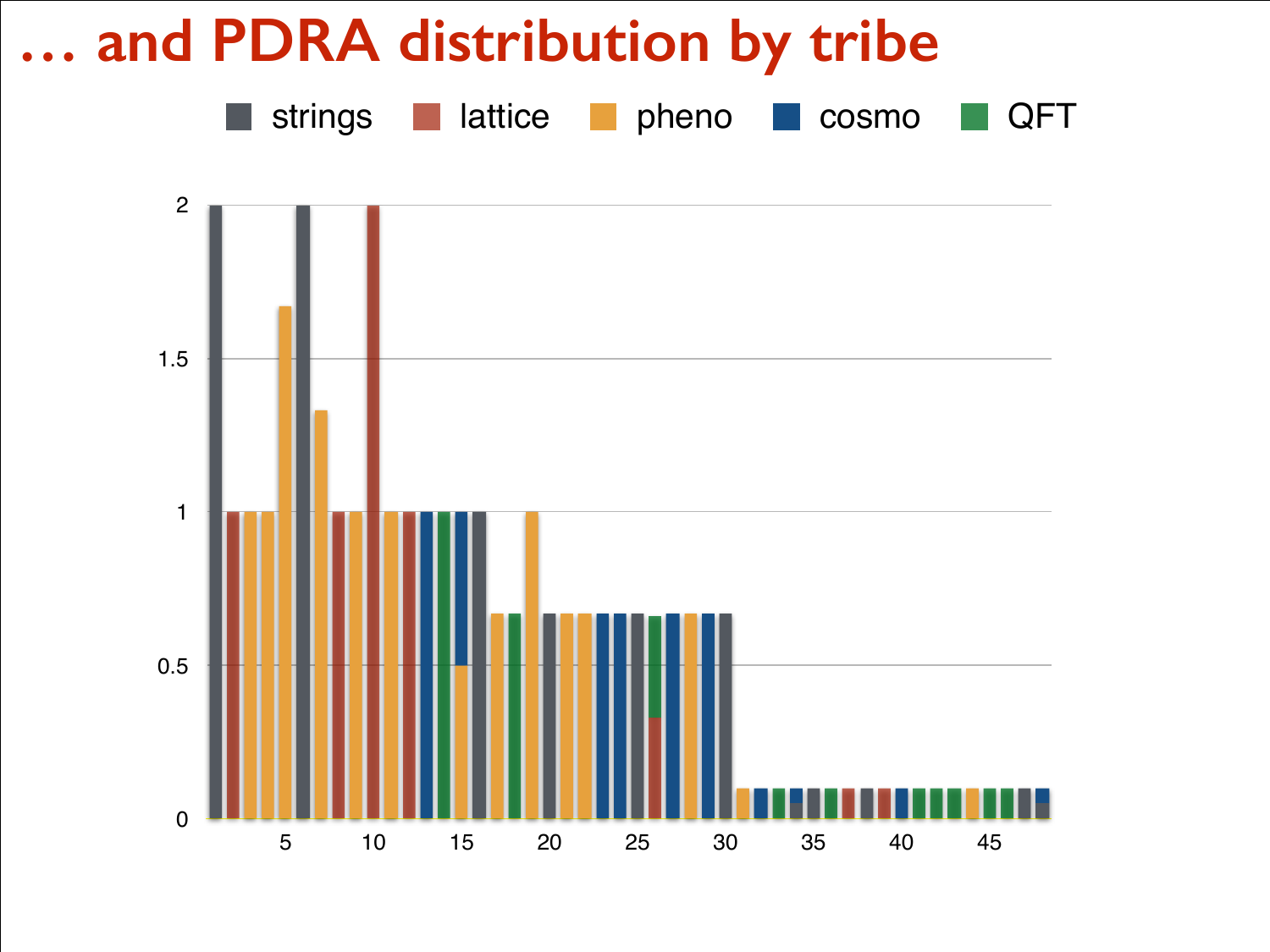#### **… and PDRA distribution by tribe**

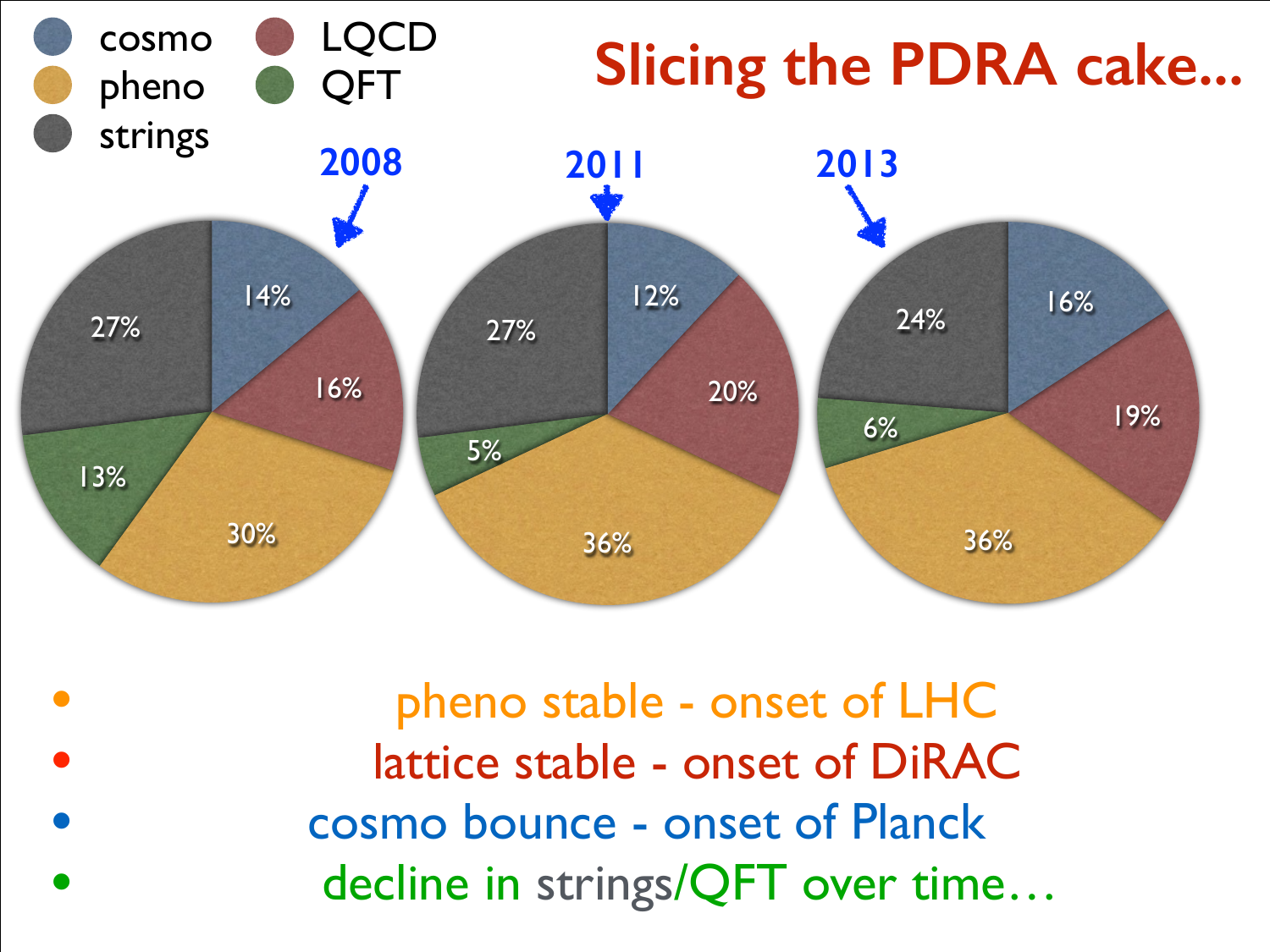

• pheno stable - onset of LHC lattice stable - onset of DiRAC • cosmo bounce - onset of Planck • decline in strings/QFT over time…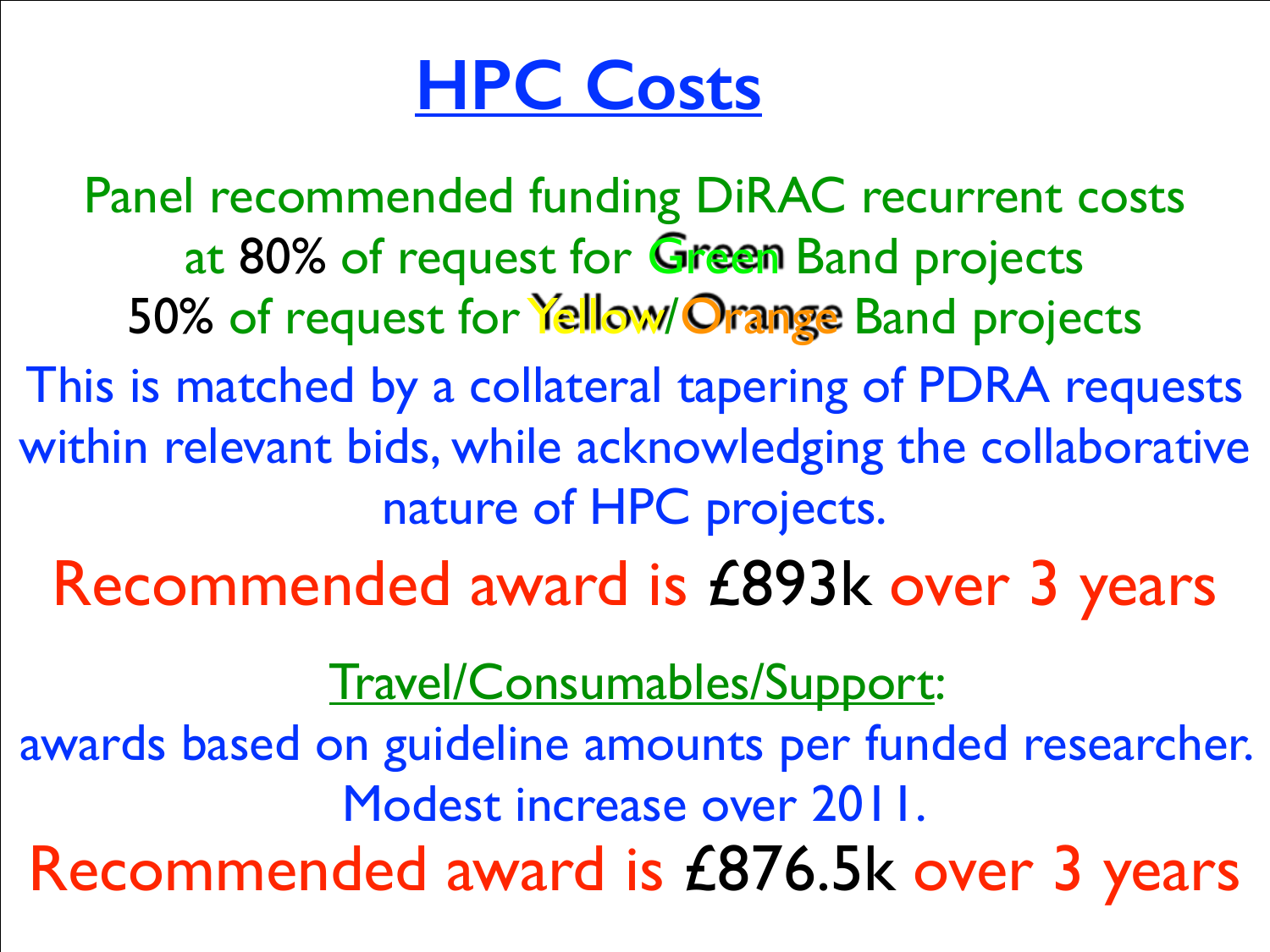### **HPC Costs**

Panel recommended funding DiRAC recurrent costs at 80% of request for Green Band projects 50% of request for Yellow/Orange Band projects This is matched by a collateral tapering of PDRA requests within relevant bids, while acknowledging the collaborative nature of HPC projects.

Recommended award is £893k over 3 years

Travel/Consumables/Support:

awards based on guideline amounts per funded researcher. Modest increase over 2011.

Recommended award is £876.5k over 3 years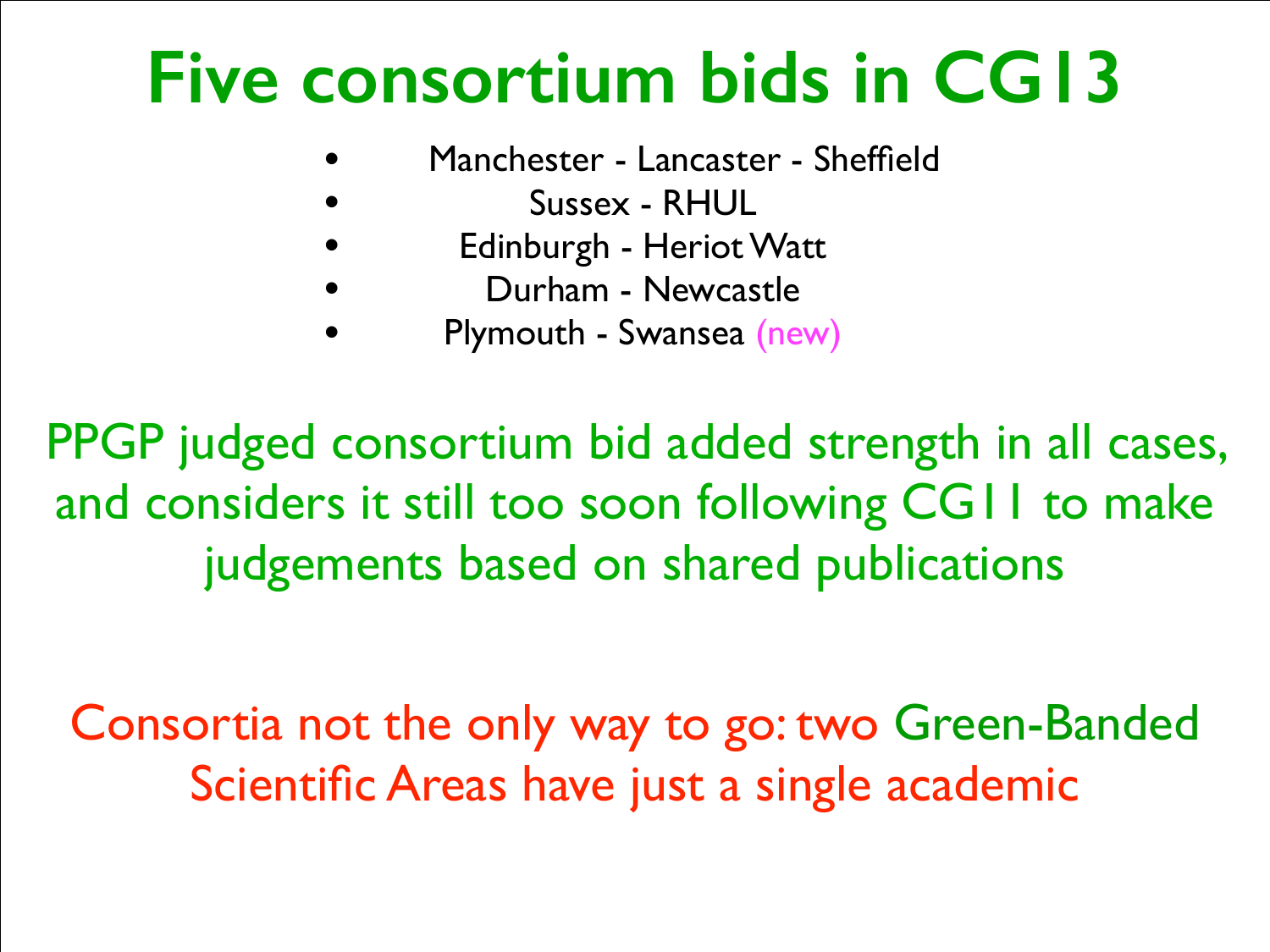### **Five consortium bids in CG13**

- Manchester Lancaster Sheffield
- Sussex RHUL
- Edinburgh Heriot Watt
- Durham Newcastle
- Plymouth Swansea (new)

PPGP judged consortium bid added strength in all cases, and considers it still too soon following CG11 to make judgements based on shared publications

Consortia not the only way to go: two Green-Banded Scientific Areas have just a single academic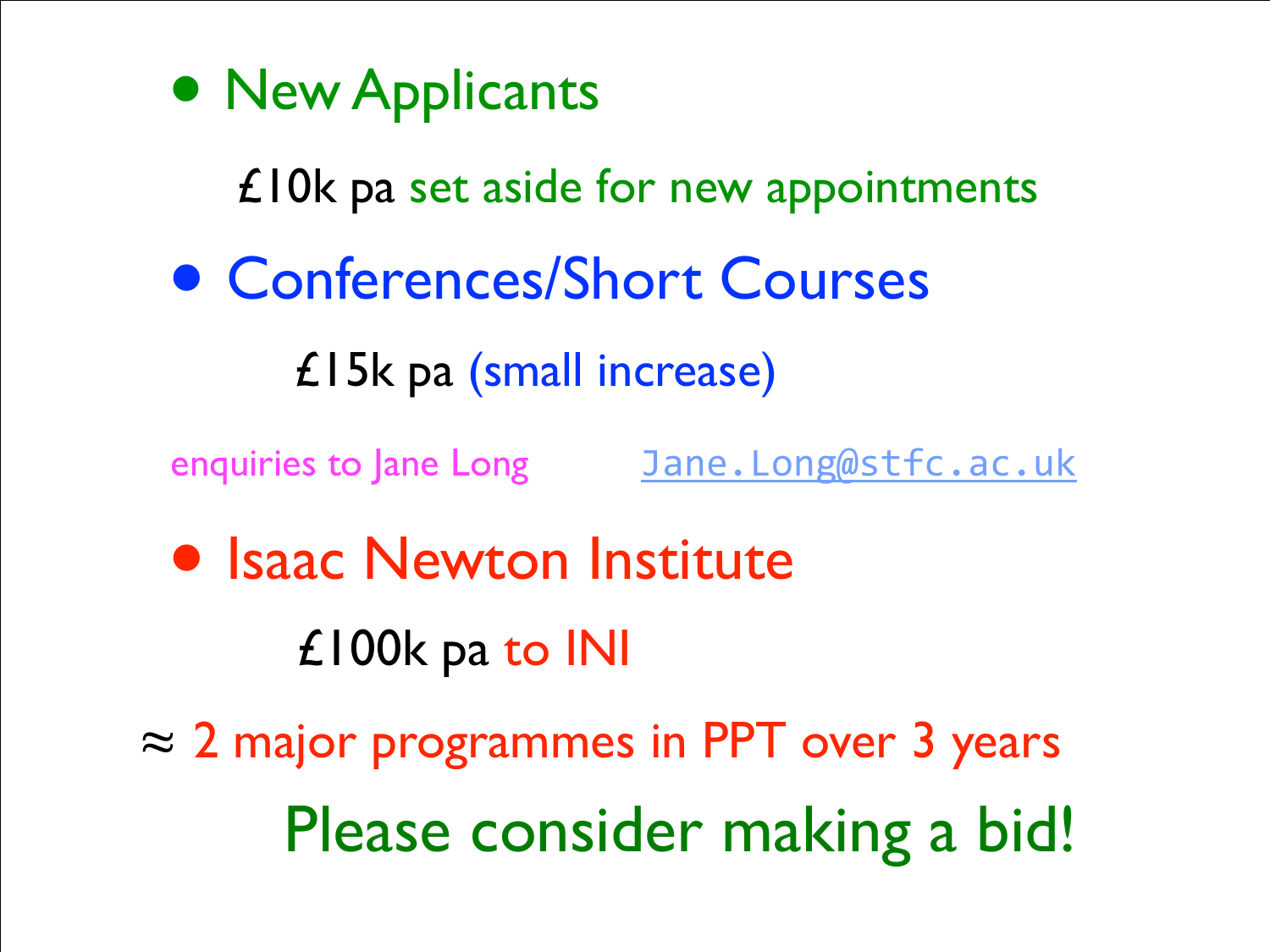• New Applicants

#### £10k pa set aside for new appointments

• Conferences/Short Courses

£15k pa (small increase)

enquiries to Jane Long Jane. Long@stfc.ac.uk

• Isaac Newton Institute £100k pa to INI

 $\approx$  2 major programmes in PPT over 3 years Please consider making a bid!